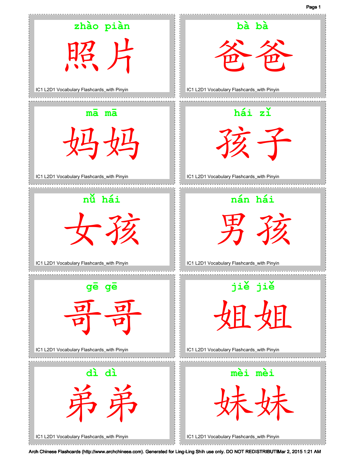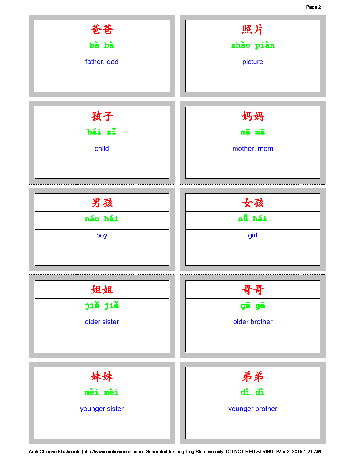## Page 2

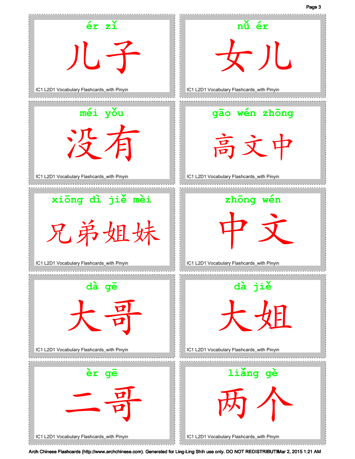

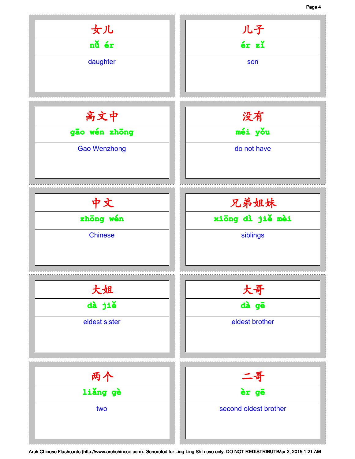## Page 4

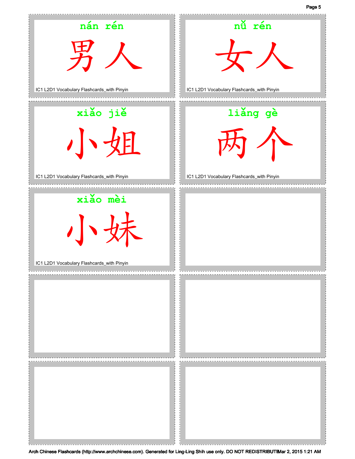